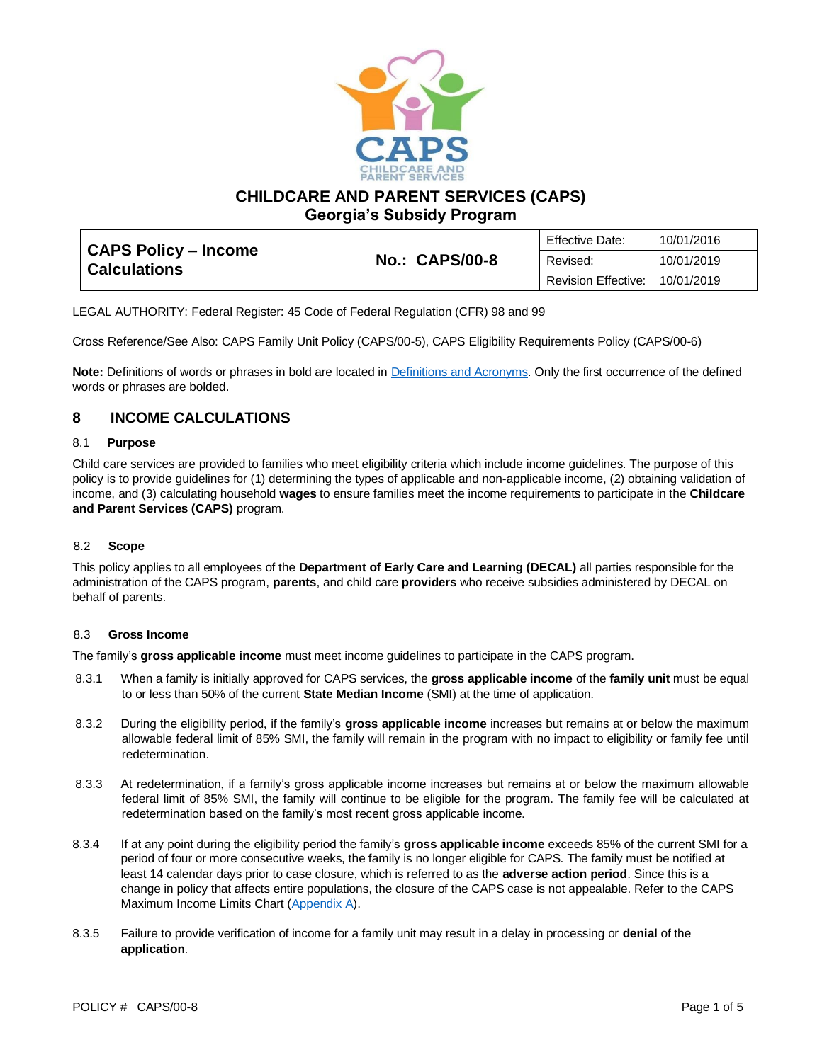

**CHILDCARE AND PARENT SERVICES (CAPS)**

**Georgia's Subsidy Program**

| <b>CAPS Policy – Income</b><br><b>Calculations</b> |                       | Effective Date:            | 10/01/2016 |
|----------------------------------------------------|-----------------------|----------------------------|------------|
|                                                    | <b>No.: CAPS/00-8</b> | Revised:                   | 10/01/2019 |
|                                                    |                       | <b>Revision Effective:</b> | 10/01/2019 |

LEGAL AUTHORITY: Federal Register: 45 Code of Federal Regulation (CFR) 98 and 99

Cross Reference/See Also: CAPS Family Unit Policy (CAPS/00-5), CAPS Eligibility Requirements Policy (CAPS/00-6)

**Note:** Definitions of words or phrases in bold are located in [Definitions and Acronyms.](https://caps.decal.ga.gov/assets/downloads/CAPS/02-CAPS_Policy-Definitions%20and%20Acronyms.pdf) Only the first occurrence of the defined words or phrases are bolded.

## **8 INCOME CALCULATIONS**

#### 8.1 **Purpose**

Child care services are provided to families who meet eligibility criteria which include income guidelines. The purpose of this policy is to provide guidelines for (1) determining the types of applicable and non-applicable income, (2) obtaining validation of income, and (3) calculating household **wages** to ensure families meet the income requirements to participate in the **Childcare and Parent Services (CAPS)** program.

### 8.2 **Scope**

This policy applies to all employees of the **Department of Early Care and Learning (DECAL)** all parties responsible for the administration of the CAPS program, **parents**, and child care **providers** who receive subsidies administered by DECAL on behalf of parents.

#### 8.3 **Gross Income**

The family's **gross applicable income** must meet income guidelines to participate in the CAPS program.

- 8.3.1 When a family is initially approved for CAPS services, the **gross applicable income** of the **family unit** must be equal to or less than 50% of the current **State Median Income** (SMI) at the time of application.
- 8.3.2 During the eligibility period, if the family's **gross applicable income** increases but remains at or below the maximum allowable federal limit of 85% SMI, the family will remain in the program with no impact to eligibility or family fee until redetermination.
- 8.3.3 At redetermination, if a family's gross applicable income increases but remains at or below the maximum allowable federal limit of 85% SMI, the family will continue to be eligible for the program. The family fee will be calculated at redetermination based on the family's most recent gross applicable income.
- 8.3.4 If at any point during the eligibility period the family's **gross applicable income** exceeds 85% of the current SMI for a period of four or more consecutive weeks, the family is no longer eligible for CAPS. The family must be notified at least 14 calendar days prior to case closure, which is referred to as the **adverse action period**. Since this is a change in policy that affects entire populations, the closure of the CAPS case is not appealable. Refer to the CAPS Maximum Income Limits Chart [\(Appendix A\)](https://caps.decal.ga.gov/assets/downloads/CAPS/AppendixA-CAPS%20Maximum%20Income%20Limits%20by%20Family%20Size.pdf).
- 8.3.5 Failure to provide verification of income for a family unit may result in a delay in processing or **denial** of the **application**.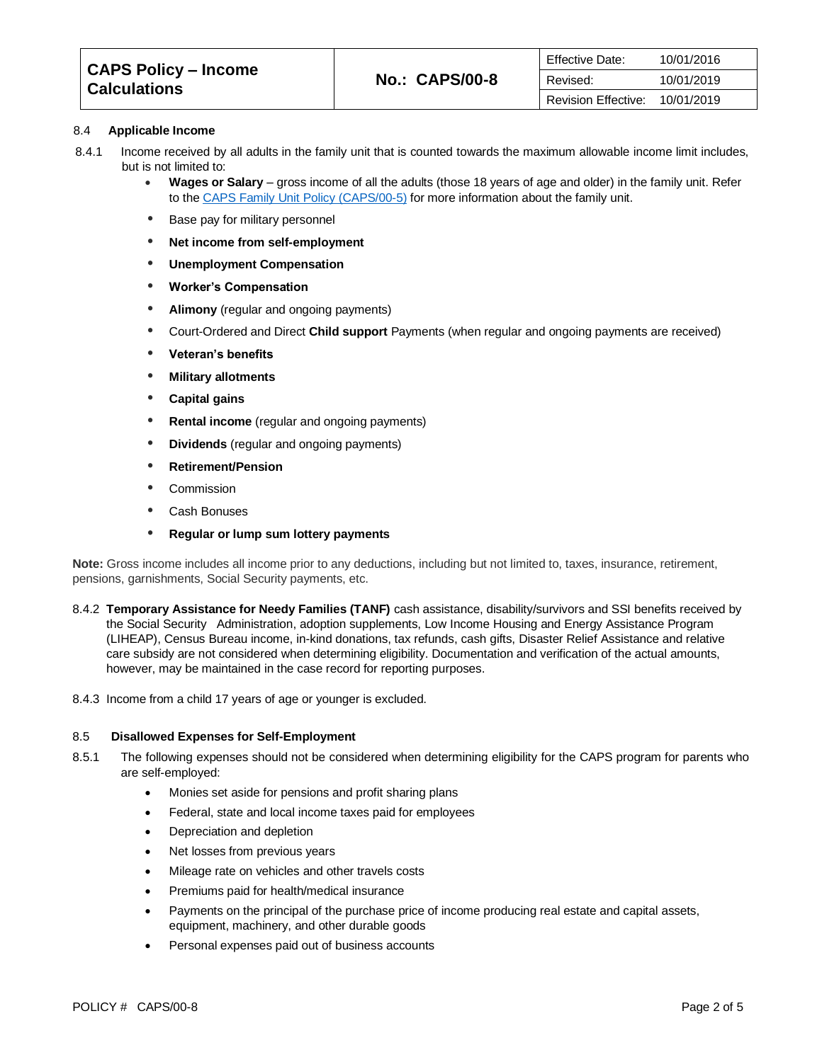| CAPS Policy – Income<br>∣ Calculations∶ |                       | <b>Effective Date:</b> | 10/01/2016 |
|-----------------------------------------|-----------------------|------------------------|------------|
|                                         | <b>No.: CAPS/00-8</b> | Revised:               | 10/01/2019 |
|                                         |                       | Revision Effective:    | 10/01/2019 |

#### 8.4 **Applicable Income**

- 8.4.1 Income received by all adults in the family unit that is counted towards the maximum allowable income limit includes, but is not limited to:
	- **Wages or Salary** gross income of all the adults (those 18 years of age and older) in the family unit. Refer to the [CAPS Family Unit Policy \(CAPS/00-5\)](https://caps.decal.ga.gov/assets/downloads/CAPS/05-CAPS_Policy-Family%20Unit.pdf) for more information about the family unit.
	- Base pay for military personnel
	- **Net income from self-employment**
	- **Unemployment Compensation**
	- **Worker's Compensation**
	- **Alimony** (regular and ongoing payments)
	- Court-Ordered and Direct **Child support** Payments (when regular and ongoing payments are received)
	- **Veteran's benefits**
	- **Military allotments**
	- **Capital gains**
	- **Rental income** (regular and ongoing payments)
	- **Dividends** (regular and ongoing payments)
	- **Retirement/Pension**
	- Commission
	- Cash Bonuses
	- **Regular or lump sum lottery payments**

**Note:** Gross income includes all income prior to any deductions, including but not limited to, taxes, insurance, retirement, pensions, garnishments, Social Security payments, etc.

- 8.4.2 **Temporary Assistance for Needy Families (TANF)** cash assistance, disability/survivors and SSI benefits received by the Social Security Administration, adoption supplements, Low Income Housing and Energy Assistance Program (LIHEAP), Census Bureau income, in-kind donations, tax refunds, cash gifts, Disaster Relief Assistance and relative care subsidy are not considered when determining eligibility. Documentation and verification of the actual amounts, however, may be maintained in the case record for reporting purposes.
- 8.4.3 Income from a child 17 years of age or younger is excluded.

#### 8.5 **Disallowed Expenses for Self-Employment**

- 8.5.1 The following expenses should not be considered when determining eligibility for the CAPS program for parents who are self-employed:
	- Monies set aside for pensions and profit sharing plans
	- Federal, state and local income taxes paid for employees
	- Depreciation and depletion
	- Net losses from previous years
	- Mileage rate on vehicles and other travels costs
	- Premiums paid for health/medical insurance
	- Payments on the principal of the purchase price of income producing real estate and capital assets, equipment, machinery, and other durable goods
	- Personal expenses paid out of business accounts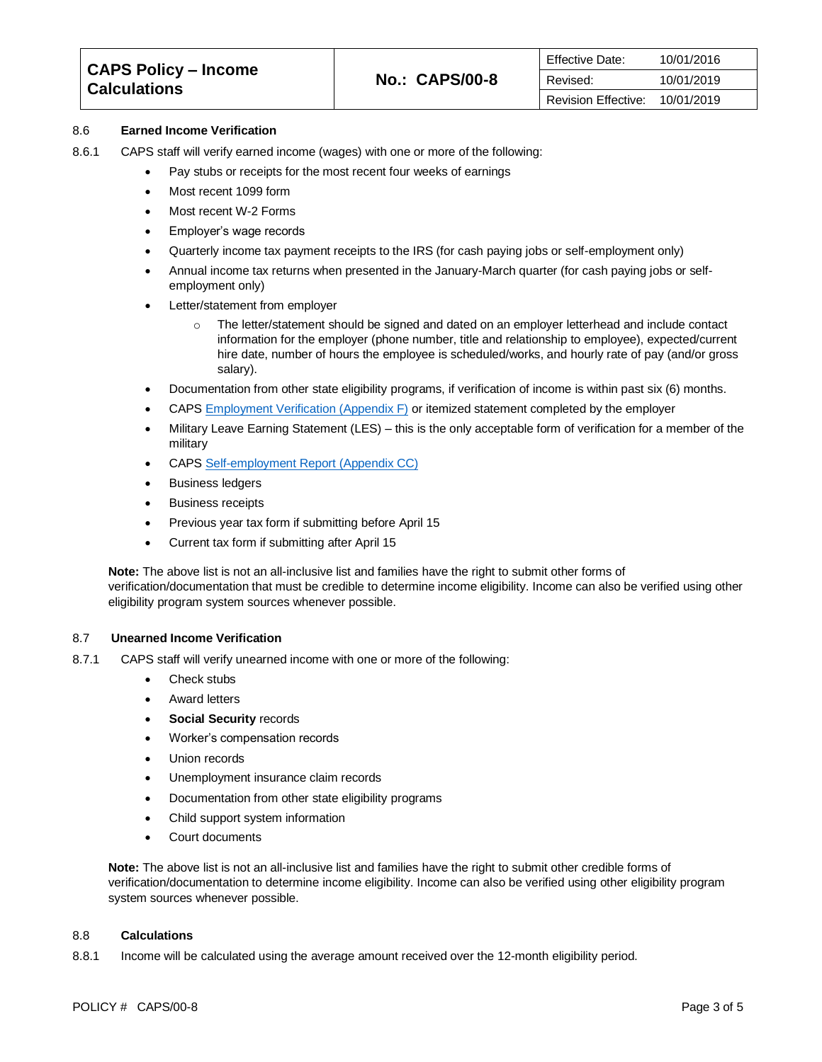| CAPS Policy – Income<br>  Calculations |                       | <b>Effective Date:</b> | 10/01/2016 |
|----------------------------------------|-----------------------|------------------------|------------|
|                                        | <b>No.: CAPS/00-8</b> | Revised:               | 10/01/2019 |
|                                        |                       | Revision Effective:    | 10/01/2019 |

#### 8.6 **Earned Income Verification**

- 8.6.1 CAPS staff will verify earned income (wages) with one or more of the following:
	- Pay stubs or receipts for the most recent four weeks of earnings
	- Most recent 1099 form
	- Most recent W-2 Forms
	- Employer's wage records
	- Quarterly income tax payment receipts to the IRS (for cash paying jobs or self-employment only)
	- Annual income tax returns when presented in the January-March quarter (for cash paying jobs or selfemployment only)
	- Letter/statement from employer
		- o The letter/statement should be signed and dated on an employer letterhead and include contact information for the employer (phone number, title and relationship to employee), expected/current hire date, number of hours the employee is scheduled/works, and hourly rate of pay (and/or gross salary).
	- Documentation from other state eligibility programs, if verification of income is within past six (6) months.
	- CAPS [Employment Verification \(Appendix F\)](https://caps.decal.ga.gov/assets/downloads/CAPS/AppendixF-Form%20809.pdf) or itemized statement completed by the employer
	- Military Leave Earning Statement (LES) this is the only acceptable form of verification for a member of the military
	- CAPS [Self-employment Report](https://caps.decal.ga.gov/assets/downloads/CAPS/Appendix_CC-Self%20Employment%20Report.pdf) (Appendix CC)
	- Business ledgers
	- Business receipts
	- Previous year tax form if submitting before April 15
	- Current tax form if submitting after April 15

**Note:** The above list is not an all-inclusive list and families have the right to submit other forms of verification/documentation that must be credible to determine income eligibility. Income can also be verified using other eligibility program system sources whenever possible.

#### 8.7 **Unearned Income Verification**

- 8.7.1 CAPS staff will verify unearned income with one or more of the following:
	- Check stubs
	- Award letters
	- **Social Security records**
	- Worker's compensation records
	- Union records
	- Unemployment insurance claim records
	- Documentation from other state eligibility programs
	- Child support system information
	- Court documents

**Note:** The above list is not an all-inclusive list and families have the right to submit other credible forms of verification/documentation to determine income eligibility. Income can also be verified using other eligibility program system sources whenever possible.

#### 8.8 **Calculations**

8.8.1 Income will be calculated using the average amount received over the 12-month eligibility period.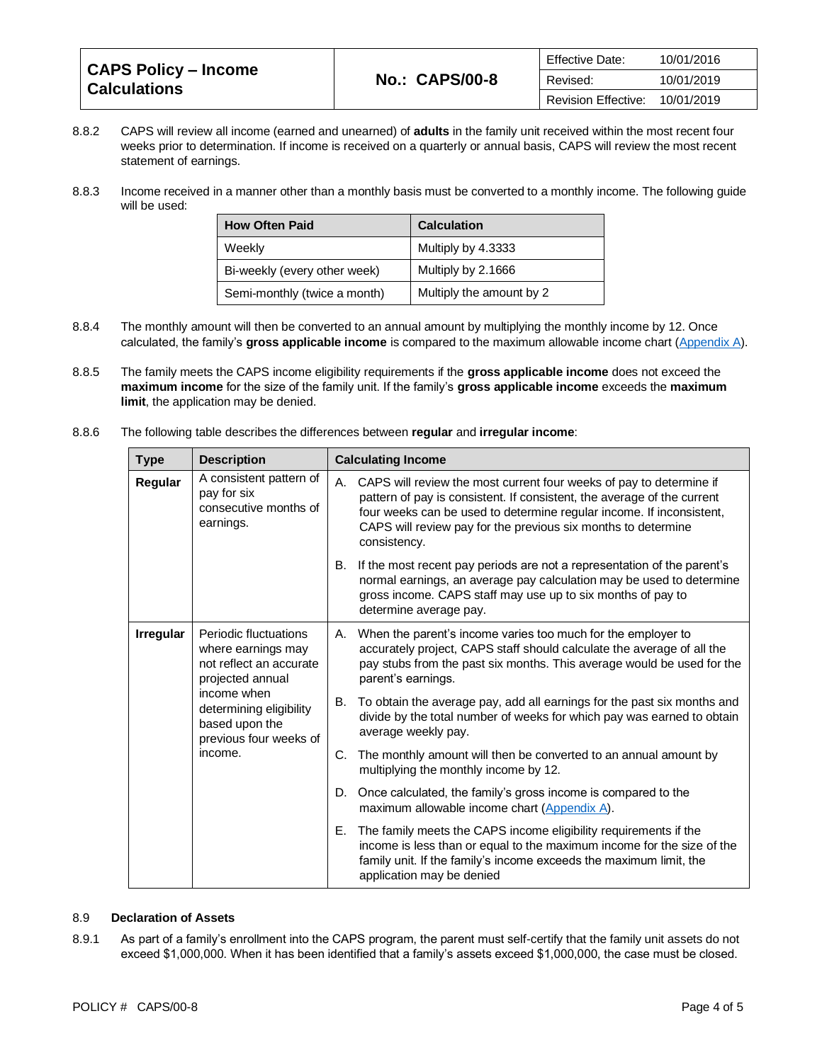| CAPS Policy - Income<br><b>Calculations</b> |                       | <b>Effective Date:</b>     | 10/01/2016 |
|---------------------------------------------|-----------------------|----------------------------|------------|
|                                             | <b>No.: CAPS/00-8</b> | Revised:                   | 10/01/2019 |
|                                             |                       | <b>Revision Effective:</b> | 10/01/2019 |

- 8.8.2 CAPS will review all income (earned and unearned) of **adults** in the family unit received within the most recent four weeks prior to determination. If income is received on a quarterly or annual basis, CAPS will review the most recent statement of earnings.
- 8.8.3 Income received in a manner other than a monthly basis must be converted to a monthly income. The following guide will be used:

| <b>How Often Paid</b>        | <b>Calculation</b>       |
|------------------------------|--------------------------|
| Weekly                       | Multiply by 4.3333       |
| Bi-weekly (every other week) | Multiply by 2.1666       |
| Semi-monthly (twice a month) | Multiply the amount by 2 |

- 8.8.4 The monthly amount will then be converted to an annual amount by multiplying the monthly income by 12. Once calculated, the family's **gross applicable income** is compared to the maximum allowable income chart [\(Appendix A\)](https://caps.decal.ga.gov/assets/downloads/CAPS/AppendixA-CAPS%20Maximum%20Income%20Limits%20by%20Family%20Size.pdf).
- 8.8.5 The family meets the CAPS income eligibility requirements if the **gross applicable income** does not exceed the **maximum income** for the size of the family unit. If the family's **gross applicable income** exceeds the **maximum limit**, the application may be denied.
- 8.8.6 The following table describes the differences between **regular** and **irregular income**:

| <b>Type</b>      | <b>Description</b>                                                                                                                                                               |                                                                                                                                                                                                                                          | <b>Calculating Income</b>                                                                                                                                                                                                                                                                                  |
|------------------|----------------------------------------------------------------------------------------------------------------------------------------------------------------------------------|------------------------------------------------------------------------------------------------------------------------------------------------------------------------------------------------------------------------------------------|------------------------------------------------------------------------------------------------------------------------------------------------------------------------------------------------------------------------------------------------------------------------------------------------------------|
| Regular          | A consistent pattern of<br>pay for six<br>consecutive months of<br>earnings.                                                                                                     |                                                                                                                                                                                                                                          | A. CAPS will review the most current four weeks of pay to determine if<br>pattern of pay is consistent. If consistent, the average of the current<br>four weeks can be used to determine regular income. If inconsistent,<br>CAPS will review pay for the previous six months to determine<br>consistency. |
|                  | В.                                                                                                                                                                               | If the most recent pay periods are not a representation of the parent's<br>normal earnings, an average pay calculation may be used to determine<br>gross income. CAPS staff may use up to six months of pay to<br>determine average pay. |                                                                                                                                                                                                                                                                                                            |
| <b>Irregular</b> | Periodic fluctuations<br>where earnings may<br>not reflect an accurate<br>projected annual<br>income when<br>determining eligibility<br>based upon the<br>previous four weeks of |                                                                                                                                                                                                                                          | A. When the parent's income varies too much for the employer to<br>accurately project, CAPS staff should calculate the average of all the<br>pay stubs from the past six months. This average would be used for the<br>parent's earnings.                                                                  |
|                  |                                                                                                                                                                                  | В.                                                                                                                                                                                                                                       | To obtain the average pay, add all earnings for the past six months and<br>divide by the total number of weeks for which pay was earned to obtain<br>average weekly pay.                                                                                                                                   |
| income.          | C.                                                                                                                                                                               | The monthly amount will then be converted to an annual amount by<br>multiplying the monthly income by 12.                                                                                                                                |                                                                                                                                                                                                                                                                                                            |
|                  | D.                                                                                                                                                                               | Once calculated, the family's gross income is compared to the<br>maximum allowable income chart (Appendix A).                                                                                                                            |                                                                                                                                                                                                                                                                                                            |
|                  |                                                                                                                                                                                  | Е.                                                                                                                                                                                                                                       | The family meets the CAPS income eligibility requirements if the<br>income is less than or equal to the maximum income for the size of the<br>family unit. If the family's income exceeds the maximum limit, the<br>application may be denied                                                              |

#### 8.9 **Declaration of Assets**

8.9.1 As part of a family's enrollment into the CAPS program, the parent must self-certify that the family unit assets do not exceed \$1,000,000. When it has been identified that a family's assets exceed \$1,000,000, the case must be closed.